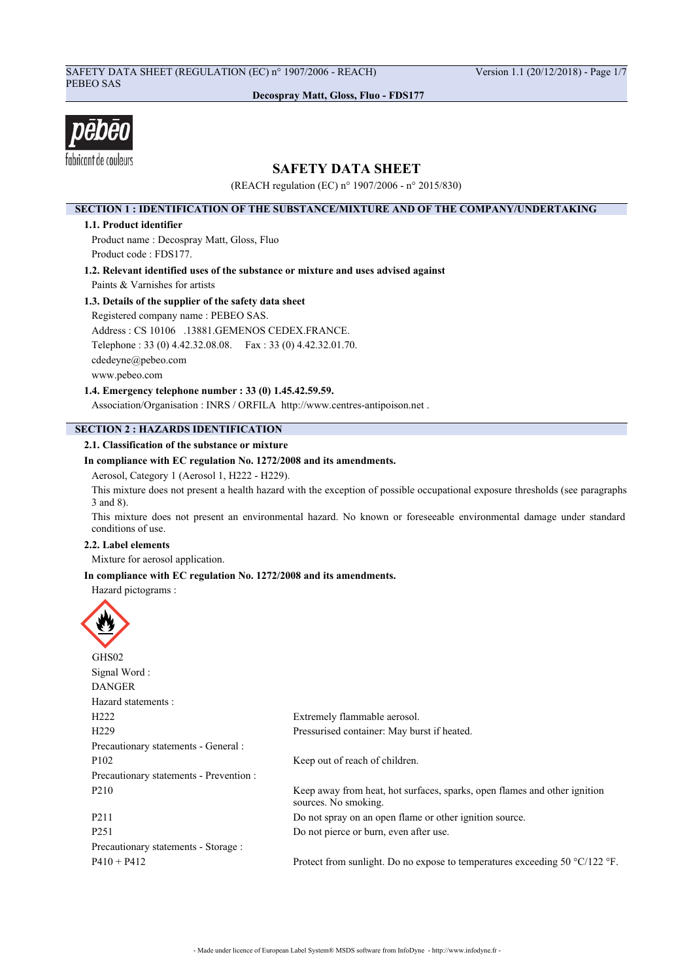# SAFETY DATA SHEET (REGULATION (EC) n° 1907/2006 - REACH) Version 1.1 (20/12/2018) - Page 1/7 PEBEO SAS

**Decospray Matt, Gloss, Fluo - FDS177**



# **SAFETY DATA SHEET**

(REACH regulation (EC) n° 1907/2006 - n° 2015/830)

## **SECTION 1 : IDENTIFICATION OF THE SUBSTANCE/MIXTURE AND OF THE COMPANY/UNDERTAKING**

### **1.1. Product identifier**

Product name : Decospray Matt, Gloss, Fluo Product code : FDS177.

**1.2. Relevant identified uses of the substance or mixture and uses advised against**

Paints & Varnishes for artists

# **1.3. Details of the supplier of the safety data sheet**

Registered company name : PEBEO SAS. Address : CS 10106 .13881.GEMENOS CEDEX.FRANCE. Telephone : 33 (0) 4.42.32.08.08. Fax : 33 (0) 4.42.32.01.70. cdedeyne@pebeo.com

www.pebeo.com

**1.4. Emergency telephone number : 33 (0) 1.45.42.59.59.**

Association/Organisation : INRS / ORFILA http://www.centres-antipoison.net .

# **SECTION 2 : HAZARDS IDENTIFICATION**

## **2.1. Classification of the substance or mixture**

## **In compliance with EC regulation No. 1272/2008 and its amendments.**

Aerosol, Category 1 (Aerosol 1, H222 - H229).

This mixture does not present a health hazard with the exception of possible occupational exposure thresholds (see paragraphs 3 and 8).

This mixture does not present an environmental hazard. No known or foreseeable environmental damage under standard conditions of use.

## **2.2. Label elements**

Mixture for aerosol application.

## **In compliance with EC regulation No. 1272/2008 and its amendments.**

Hazard pictograms :

| GHS02                                   |                                                                                                   |
|-----------------------------------------|---------------------------------------------------------------------------------------------------|
| Signal Word:                            |                                                                                                   |
| <b>DANGER</b>                           |                                                                                                   |
| Hazard statements :                     |                                                                                                   |
| H <sub>222</sub>                        | Extremely flammable aerosol.                                                                      |
| H <sub>229</sub>                        | Pressurised container: May burst if heated.                                                       |
| Precautionary statements - General :    |                                                                                                   |
| P <sub>102</sub>                        | Keep out of reach of children.                                                                    |
| Precautionary statements - Prevention : |                                                                                                   |
| P <sub>210</sub>                        | Keep away from heat, hot surfaces, sparks, open flames and other ignition<br>sources. No smoking. |
| P <sub>2</sub> 11                       | Do not spray on an open flame or other ignition source.                                           |
| P <sub>251</sub>                        | Do not pierce or burn, even after use.                                                            |
| Precautionary statements - Storage :    |                                                                                                   |
| $P410 + P412$                           | Protect from sunlight. Do no expose to temperatures exceeding 50 $\degree$ C/122 $\degree$ F.     |
|                                         |                                                                                                   |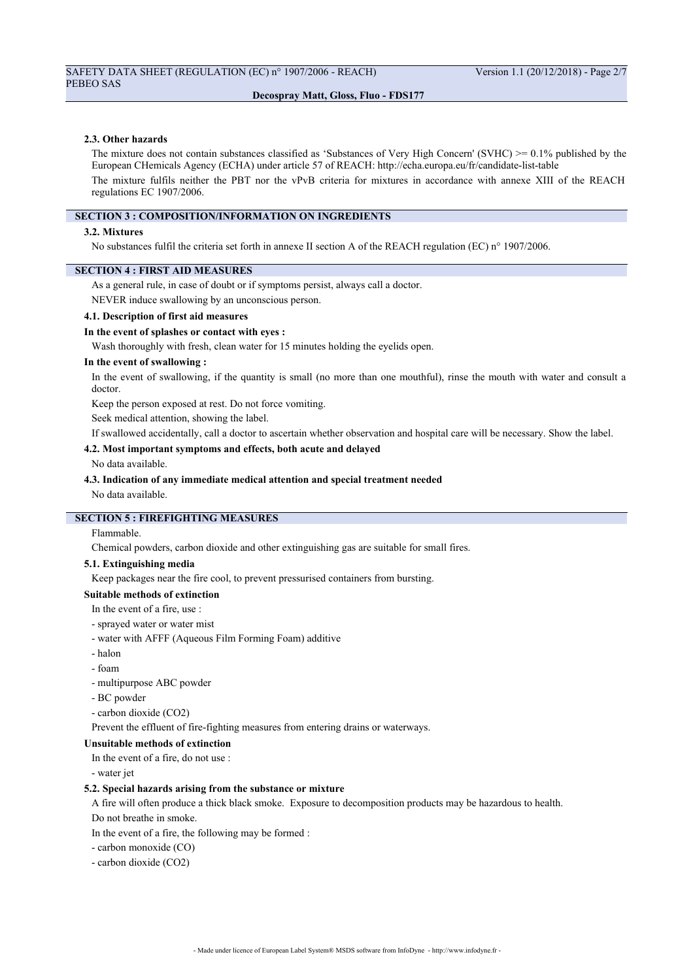#### **2.3. Other hazards**

The mixture does not contain substances classified as 'Substances of Very High Concern' (SVHC)  $\geq 0.1\%$  published by the European CHemicals Agency (ECHA) under article 57 of REACH: http://echa.europa.eu/fr/candidate-list-table The mixture fulfils neither the PBT nor the vPvB criteria for mixtures in accordance with annexe XIII of the REACH regulations EC 1907/2006.

### **SECTION 3 : COMPOSITION/INFORMATION ON INGREDIENTS**

#### **3.2. Mixtures**

No substances fulfil the criteria set forth in annexe II section A of the REACH regulation (EC) n° 1907/2006.

### **SECTION 4 : FIRST AID MEASURES**

As a general rule, in case of doubt or if symptoms persist, always call a doctor.

NEVER induce swallowing by an unconscious person.

#### **4.1. Description of first aid measures**

#### **In the event of splashes or contact with eyes :**

Wash thoroughly with fresh, clean water for 15 minutes holding the eyelids open.

#### **In the event of swallowing :**

In the event of swallowing, if the quantity is small (no more than one mouthful), rinse the mouth with water and consult a doctor.

Keep the person exposed at rest. Do not force vomiting.

Seek medical attention, showing the label.

If swallowed accidentally, call a doctor to ascertain whether observation and hospital care will be necessary. Show the label.

#### **4.2. Most important symptoms and effects, both acute and delayed**

#### No data available.

#### **4.3. Indication of any immediate medical attention and special treatment needed**

No data available.

# **SECTION 5 : FIREFIGHTING MEASURES**

## Flammable.

Chemical powders, carbon dioxide and other extinguishing gas are suitable for small fires.

### **5.1. Extinguishing media**

Keep packages near the fire cool, to prevent pressurised containers from bursting.

## **Suitable methods of extinction**

- In the event of a fire, use :
- sprayed water or water mist
- water with AFFF (Aqueous Film Forming Foam) additive
- halon
- foam
- multipurpose ABC powder
- BC powder
- carbon dioxide (CO2)

Prevent the effluent of fire-fighting measures from entering drains or waterways.

### **Unsuitable methods of extinction**

In the event of a fire, do not use :

- water jet

#### **5.2. Special hazards arising from the substance or mixture**

A fire will often produce a thick black smoke. Exposure to decomposition products may be hazardous to health.

Do not breathe in smoke.

- In the event of a fire, the following may be formed :
- carbon monoxide (CO)
- carbon dioxide (CO2)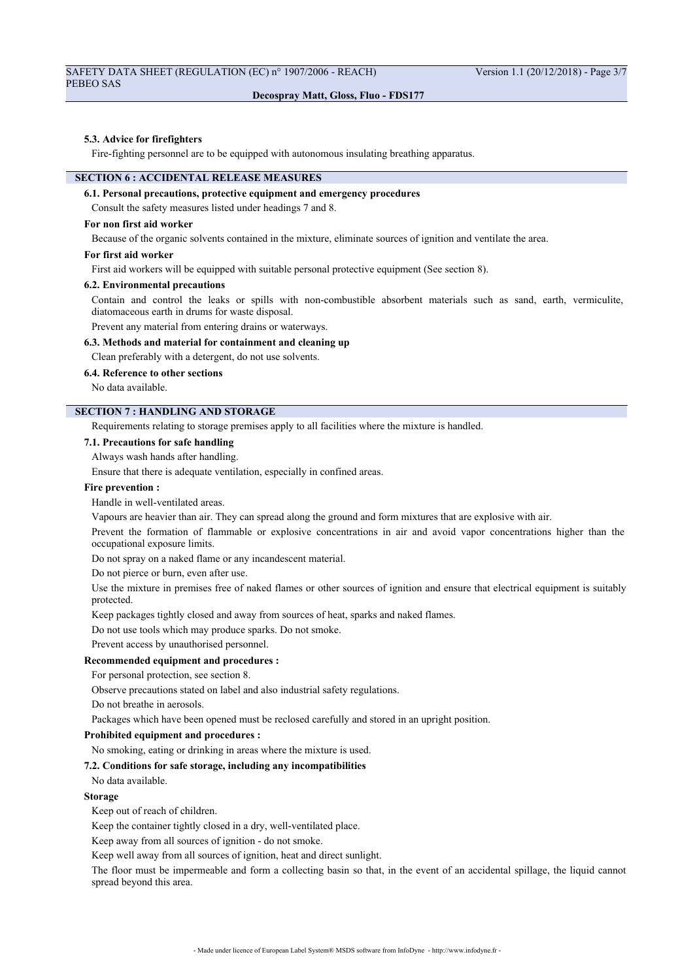#### **5.3. Advice for firefighters**

Fire-fighting personnel are to be equipped with autonomous insulating breathing apparatus.

# **SECTION 6 : ACCIDENTAL RELEASE MEASURES**

# **6.1. Personal precautions, protective equipment and emergency procedures**

Consult the safety measures listed under headings 7 and 8.

### **For non first aid worker**

Because of the organic solvents contained in the mixture, eliminate sources of ignition and ventilate the area.

#### **For first aid worker**

First aid workers will be equipped with suitable personal protective equipment (See section 8).

#### **6.2. Environmental precautions**

Contain and control the leaks or spills with non-combustible absorbent materials such as sand, earth, vermiculite, diatomaceous earth in drums for waste disposal.

Prevent any material from entering drains or waterways.

## **6.3. Methods and material for containment and cleaning up**

Clean preferably with a detergent, do not use solvents.

## **6.4. Reference to other sections**

No data available.

## **SECTION 7 : HANDLING AND STORAGE**

Requirements relating to storage premises apply to all facilities where the mixture is handled.

## **7.1. Precautions for safe handling**

Always wash hands after handling.

Ensure that there is adequate ventilation, especially in confined areas.

#### **Fire prevention :**

Handle in well-ventilated areas.

Vapours are heavier than air. They can spread along the ground and form mixtures that are explosive with air.

Prevent the formation of flammable or explosive concentrations in air and avoid vapor concentrations higher than the occupational exposure limits.

Do not spray on a naked flame or any incandescent material.

Do not pierce or burn, even after use.

Use the mixture in premises free of naked flames or other sources of ignition and ensure that electrical equipment is suitably protected.

Keep packages tightly closed and away from sources of heat, sparks and naked flames.

Do not use tools which may produce sparks. Do not smoke.

Prevent access by unauthorised personnel.

### **Recommended equipment and procedures :**

For personal protection, see section 8.

Observe precautions stated on label and also industrial safety regulations.

Do not breathe in aerosols.

Packages which have been opened must be reclosed carefully and stored in an upright position.

## **Prohibited equipment and procedures :**

No smoking, eating or drinking in areas where the mixture is used.

#### **7.2. Conditions for safe storage, including any incompatibilities**

No data available.

#### **Storage**

Keep out of reach of children.

Keep the container tightly closed in a dry, well-ventilated place.

Keep away from all sources of ignition - do not smoke.

Keep well away from all sources of ignition, heat and direct sunlight.

The floor must be impermeable and form a collecting basin so that, in the event of an accidental spillage, the liquid cannot spread beyond this area.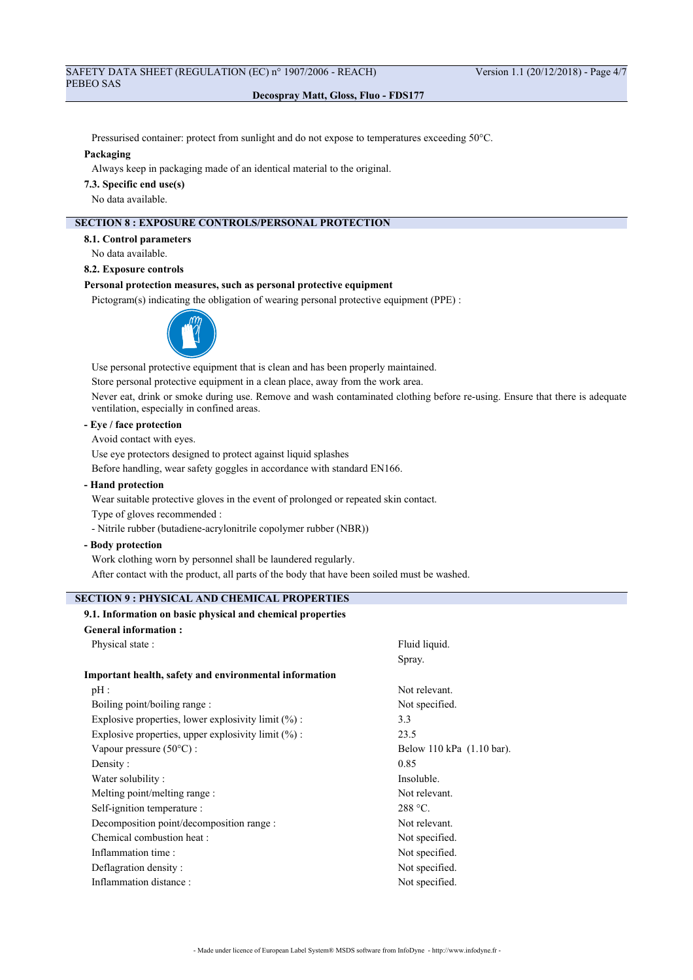Pressurised container: protect from sunlight and do not expose to temperatures exceeding 50°C.

#### **Packaging**

Always keep in packaging made of an identical material to the original.

**7.3. Specific end use(s)**

No data available.

# **SECTION 8 : EXPOSURE CONTROLS/PERSONAL PROTECTION**

**8.1. Control parameters**

No data available.

**8.2. Exposure controls**

# **Personal protection measures, such as personal protective equipment**

Pictogram(s) indicating the obligation of wearing personal protective equipment (PPE) :



Use personal protective equipment that is clean and has been properly maintained. Store personal protective equipment in a clean place, away from the work area.

Never eat, drink or smoke during use. Remove and wash contaminated clothing before re-using. Ensure that there is adequate ventilation, especially in confined areas.

## **- Eye / face protection**

Avoid contact with eyes.

Use eye protectors designed to protect against liquid splashes

Before handling, wear safety goggles in accordance with standard EN166.

**- Hand protection**

Wear suitable protective gloves in the event of prolonged or repeated skin contact.

Type of gloves recommended :

- Nitrile rubber (butadiene-acrylonitrile copolymer rubber (NBR))

**- Body protection**

Work clothing worn by personnel shall be laundered regularly.

After contact with the product, all parts of the body that have been soiled must be washed.

# **SECTION 9 : PHYSICAL AND CHEMICAL PROPERTIES**

# **9.1. Information on basic physical and chemical properties**

| <b>General information:</b>                                   |                           |
|---------------------------------------------------------------|---------------------------|
| Physical state:                                               | Fluid liquid.             |
|                                                               | Spray.                    |
| <b>Important health, safety and environmental information</b> |                           |
| pH:                                                           | Not relevant.             |
| Boiling point/boiling range :                                 | Not specified.            |
| Explosive properties, lower explosivity limit (%) :           | 3.3                       |
| Explosive properties, upper explosivity limit $(\%)$ :        | 23.5                      |
| Vapour pressure $(50^{\circ}$ C) :                            | Below 110 kPa (1.10 bar). |
| Density:                                                      | 0.85                      |
| Water solubility:                                             | Insoluble.                |
| Melting point/melting range :                                 | Not relevant.             |
| Self-ignition temperature :                                   | $288 °C$ .                |
| Decomposition point/decomposition range :                     | Not relevant.             |
| Chemical combustion heat :                                    | Not specified.            |
| Inflammation time:                                            | Not specified.            |
| Deflagration density:                                         | Not specified.            |
| Inflammation distance:                                        | Not specified.            |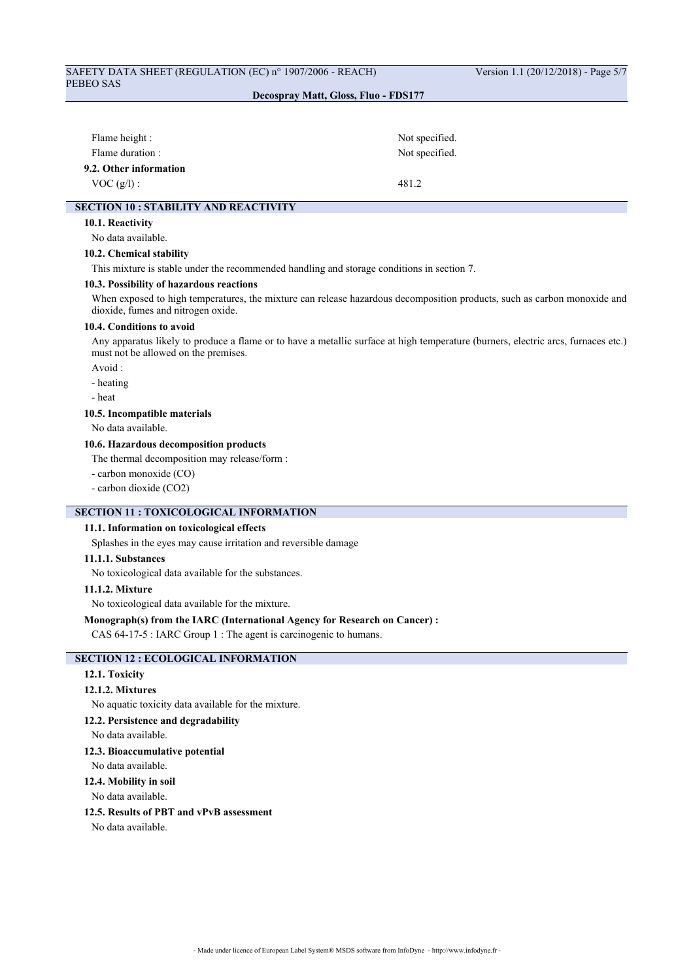# SAFETY DATA SHEET (REGULATION (EC) n° 1907/2006 - REACH) Version 1.1 (20/12/2018) - Page 5/7 PEBEO SAS

## **Decospray Matt, Gloss, Fluo - FDS177**

| Flame height :         | Not specified. |
|------------------------|----------------|
| Flame duration :       | Not specified. |
| 9.2. Other information |                |
| VOC(g/l):              | 481.2          |

## **SECTION 10 : STABILITY AND REACTIVITY**

## **10.1. Reactivity**

No data available.

#### **10.2. Chemical stability**

This mixture is stable under the recommended handling and storage conditions in section 7.

#### **10.3. Possibility of hazardous reactions**

When exposed to high temperatures, the mixture can release hazardous decomposition products, such as carbon monoxide and dioxide, fumes and nitrogen oxide.

#### **10.4. Conditions to avoid**

Any apparatus likely to produce a flame or to have a metallic surface at high temperature (burners, electric arcs, furnaces etc.) must not be allowed on the premises.

Avoid :

- heating

- heat

#### **10.5. Incompatible materials**

No data available.

## **10.6. Hazardous decomposition products**

The thermal decomposition may release/form :

- carbon monoxide (CO)
- carbon dioxide (CO2)

## **SECTION 11 : TOXICOLOGICAL INFORMATION**

# **11.1. Information on toxicological effects**

Splashes in the eyes may cause irritation and reversible damage

## **11.1.1. Substances**

No toxicological data available for the substances.

#### **11.1.2. Mixture**

No toxicological data available for the mixture.

#### **Monograph(s) from the IARC (International Agency for Research on Cancer) :**

CAS 64-17-5 : IARC Group 1 : The agent is carcinogenic to humans.

# **SECTION 12 : ECOLOGICAL INFORMATION**

## **12.1. Toxicity**

### **12.1.2. Mixtures**

No aquatic toxicity data available for the mixture.

#### **12.2. Persistence and degradability**

No data available.

#### **12.3. Bioaccumulative potential**

No data available.

## **12.4. Mobility in soil**

No data available.

## **12.5. Results of PBT and vPvB assessment**

No data available.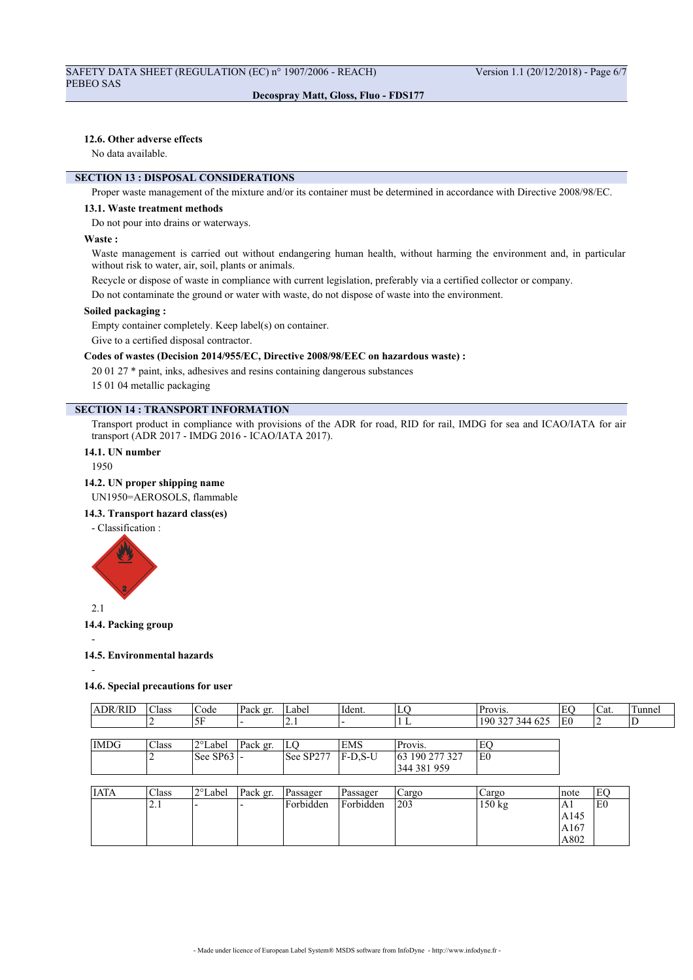## **12.6. Other adverse effects**

No data available.

# **SECTION 13 : DISPOSAL CONSIDERATIONS**

Proper waste management of the mixture and/or its container must be determined in accordance with Directive 2008/98/EC.

#### **13.1. Waste treatment methods**

Do not pour into drains or waterways.

#### **Waste :**

Waste management is carried out without endangering human health, without harming the environment and, in particular without risk to water, air, soil, plants or animals.

Recycle or dispose of waste in compliance with current legislation, preferably via a certified collector or company.

Do not contaminate the ground or water with waste, do not dispose of waste into the environment.

## **Soiled packaging :**

Empty container completely. Keep label(s) on container.

Give to a certified disposal contractor.

## **Codes of wastes (Decision 2014/955/EC, Directive 2008/98/EEC on hazardous waste) :**

20 01 27 \* paint, inks, adhesives and resins containing dangerous substances

15 01 04 metallic packaging

# **SECTION 14 : TRANSPORT INFORMATION**

Transport product in compliance with provisions of the ADR for road, RID for rail, IMDG for sea and ICAO/IATA for air transport (ADR 2017 - IMDG 2016 - ICAO/IATA 2017).

# **14.1. UN number**

1950

#### **14.2. UN proper shipping name**

UN1950=AEROSOLS, flammable

#### **14.3. Transport hazard class(es)**

- Classification :



## **14.4. Packing group**

-

# **14.5. Environmental hazards**

-

## **14.6. Special precautions for user**

| <b>ADR/RID</b> | <sup>1</sup> Class | Code                                     | Pack gr. | Label     | Ident.    | lгo            | Provis.         |     | 'Cat. | Tunnel |
|----------------|--------------------|------------------------------------------|----------|-----------|-----------|----------------|-----------------|-----|-------|--------|
|                |                    | ∣5F                                      |          | ا د ک     |           |                | 190 327 344 625 | lE0 |       |        |
|                |                    |                                          |          |           |           |                |                 |     |       |        |
| <b>IMDG</b>    | Class              | 2°Label                                  | Pack gr. | lГO       | EMS       | Provis.        | EQ              |     |       |        |
|                |                    | $\left  \text{See } \text{SP63} \right $ |          | See SP277 | $F-D.S-U$ | 63 190 277 327 | lE0             |     |       |        |
|                |                    |                                          |          |           |           | 344 381 959    |                 |     |       |        |

| <b>IATA</b> | Class      | 12°Label | Pack gr. | Passager  | Passager  | Cargo | Cargo  | Inote | EC             |
|-------------|------------|----------|----------|-----------|-----------|-------|--------|-------|----------------|
|             | $\sim$ . 1 | --       |          | Forbidden | Forbidden | 203   | 150 kg | A l   | E <sub>0</sub> |
|             |            |          |          |           |           |       |        | A145  |                |
|             |            |          |          |           |           |       |        | A167  |                |
|             |            |          |          |           |           |       |        | A802  |                |